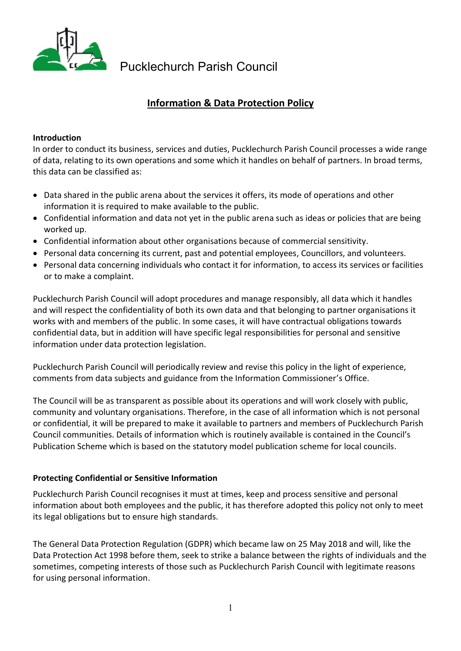

# **Information & Data Protection Policy**

#### **Introduction**

In order to conduct its business, services and duties, Pucklechurch Parish Council processes a wide range of data, relating to its own operations and some which it handles on behalf of partners. In broad terms, this data can be classified as:

- Data shared in the public arena about the services it offers, its mode of operations and other information it is required to make available to the public.
- Confidential information and data not yet in the public arena such as ideas or policies that are being worked up.
- Confidential information about other organisations because of commercial sensitivity.
- Personal data concerning its current, past and potential employees, Councillors, and volunteers.
- Personal data concerning individuals who contact it for information, to access its services or facilities or to make a complaint.

Pucklechurch Parish Council will adopt procedures and manage responsibly, all data which it handles and will respect the confidentiality of both its own data and that belonging to partner organisations it works with and members of the public. In some cases, it will have contractual obligations towards confidential data, but in addition will have specific legal responsibilities for personal and sensitive information under data protection legislation.

Pucklechurch Parish Council will periodically review and revise this policy in the light of experience, comments from data subjects and guidance from the Information Commissioner's Office.

The Council will be as transparent as possible about its operations and will work closely with public, community and voluntary organisations. Therefore, in the case of all information which is not personal or confidential, it will be prepared to make it available to partners and members of Pucklechurch Parish Council communities. Details of information which is routinely available is contained in the Council's Publication Scheme which is based on the statutory model publication scheme for local councils.

#### **Protecting Confidential or Sensitive Information**

Pucklechurch Parish Council recognises it must at times, keep and process sensitive and personal information about both employees and the public, it has therefore adopted this policy not only to meet its legal obligations but to ensure high standards.

The General Data Protection Regulation (GDPR) which became law on 25 May 2018 and will, like the Data Protection Act 1998 before them, seek to strike a balance between the rights of individuals and the sometimes, competing interests of those such as Pucklechurch Parish Council with legitimate reasons for using personal information.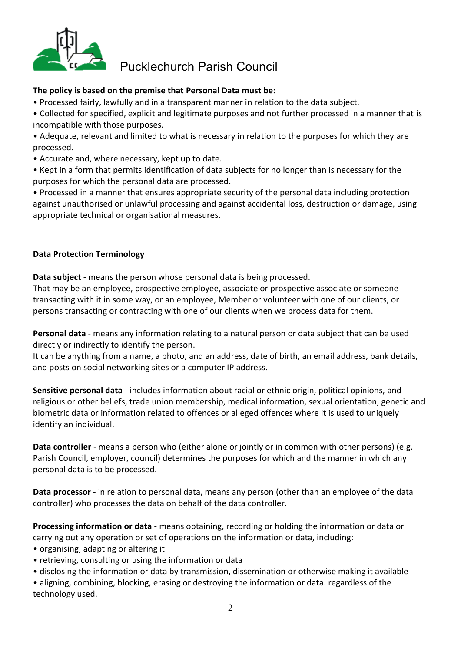

## **The policy is based on the premise that Personal Data must be:**

- Processed fairly, lawfully and in a transparent manner in relation to the data subject.
- Collected for specified, explicit and legitimate purposes and not further processed in a manner that is incompatible with those purposes.
- Adequate, relevant and limited to what is necessary in relation to the purposes for which they are processed.
- Accurate and, where necessary, kept up to date.
- Kept in a form that permits identification of data subjects for no longer than is necessary for the purposes for which the personal data are processed.
- Processed in a manner that ensures appropriate security of the personal data including protection against unauthorised or unlawful processing and against accidental loss, destruction or damage, using appropriate technical or organisational measures.

## **Data Protection Terminology**

**Data subject** - means the person whose personal data is being processed.

That may be an employee, prospective employee, associate or prospective associate or someone transacting with it in some way, or an employee, Member or volunteer with one of our clients, or persons transacting or contracting with one of our clients when we process data for them.

**Personal data** - means any information relating to a natural person or data subject that can be used directly or indirectly to identify the person.

It can be anything from a name, a photo, and an address, date of birth, an email address, bank details, and posts on social networking sites or a computer IP address.

**Sensitive personal data** - includes information about racial or ethnic origin, political opinions, and religious or other beliefs, trade union membership, medical information, sexual orientation, genetic and biometric data or information related to offences or alleged offences where it is used to uniquely identify an individual.

**Data controller** - means a person who (either alone or jointly or in common with other persons) (e.g. Parish Council, employer, council) determines the purposes for which and the manner in which any personal data is to be processed.

**Data processor** - in relation to personal data, means any person (other than an employee of the data controller) who processes the data on behalf of the data controller.

**Processing information or data** - means obtaining, recording or holding the information or data or carrying out any operation or set of operations on the information or data, including:

- organising, adapting or altering it
- retrieving, consulting or using the information or data
- disclosing the information or data by transmission, dissemination or otherwise making it available • aligning, combining, blocking, erasing or destroying the information or data. regardless of the

technology used.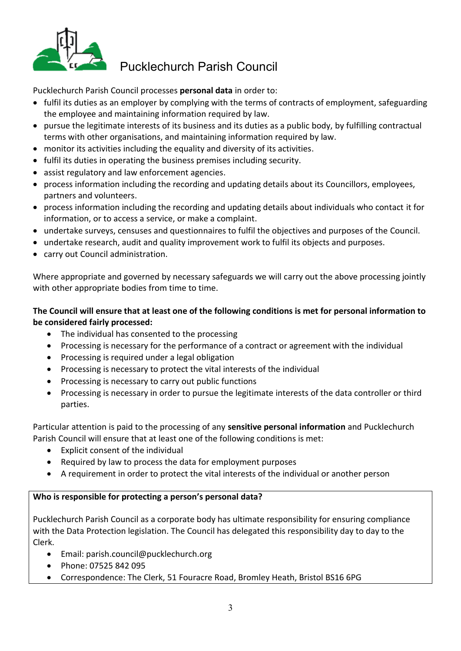

Pucklechurch Parish Council processes **personal data** in order to:

- fulfil its duties as an employer by complying with the terms of contracts of employment, safeguarding the employee and maintaining information required by law.
- pursue the legitimate interests of its business and its duties as a public body, by fulfilling contractual terms with other organisations, and maintaining information required by law.
- monitor its activities including the equality and diversity of its activities.
- fulfil its duties in operating the business premises including security.
- assist regulatory and law enforcement agencies.
- process information including the recording and updating details about its Councillors, employees, partners and volunteers.
- process information including the recording and updating details about individuals who contact it for information, or to access a service, or make a complaint.
- undertake surveys, censuses and questionnaires to fulfil the objectives and purposes of the Council.
- undertake research, audit and quality improvement work to fulfil its objects and purposes.
- carry out Council administration.

Where appropriate and governed by necessary safeguards we will carry out the above processing jointly with other appropriate bodies from time to time.

## **The Council will ensure that at least one of the following conditions is met for personal information to be considered fairly processed:**

- The individual has consented to the processing
- Processing is necessary for the performance of a contract or agreement with the individual
- Processing is required under a legal obligation
- Processing is necessary to protect the vital interests of the individual
- Processing is necessary to carry out public functions
- Processing is necessary in order to pursue the legitimate interests of the data controller or third parties.

Particular attention is paid to the processing of any **sensitive personal information** and Pucklechurch Parish Council will ensure that at least one of the following conditions is met:

- Explicit consent of the individual
- Required by law to process the data for employment purposes
- A requirement in order to protect the vital interests of the individual or another person

#### **Who is responsible for protecting a person's personal data?**

Pucklechurch Parish Council as a corporate body has ultimate responsibility for ensuring compliance with the Data Protection legislation. The Council has delegated this responsibility day to day to the Clerk.

- Email: [parish.council@pucklechurch.org](mailto:parish.council@pucklechurch.org)
- Phone: 07525 842 095
- Correspondence: The Clerk, 51 Fouracre Road, Bromley Heath, Bristol BS16 6PG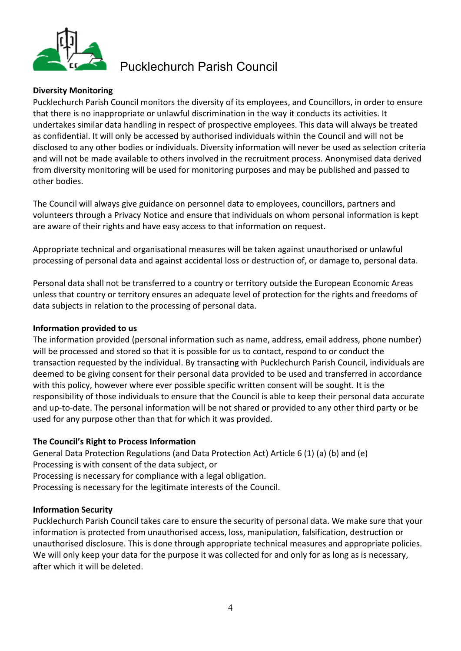

#### **Diversity Monitoring**

Pucklechurch Parish Council monitors the diversity of its employees, and Councillors, in order to ensure that there is no inappropriate or unlawful discrimination in the way it conducts its activities. It undertakes similar data handling in respect of prospective employees. This data will always be treated as confidential. It will only be accessed by authorised individuals within the Council and will not be disclosed to any other bodies or individuals. Diversity information will never be used as selection criteria and will not be made available to others involved in the recruitment process. Anonymised data derived from diversity monitoring will be used for monitoring purposes and may be published and passed to other bodies.

The Council will always give guidance on personnel data to employees, councillors, partners and volunteers through a Privacy Notice and ensure that individuals on whom personal information is kept are aware of their rights and have easy access to that information on request.

Appropriate technical and organisational measures will be taken against unauthorised or unlawful processing of personal data and against accidental loss or destruction of, or damage to, personal data.

Personal data shall not be transferred to a country or territory outside the European Economic Areas unless that country or territory ensures an adequate level of protection for the rights and freedoms of data subjects in relation to the processing of personal data.

#### **Information provided to us**

The information provided (personal information such as name, address, email address, phone number) will be processed and stored so that it is possible for us to contact, respond to or conduct the transaction requested by the individual. By transacting with Pucklechurch Parish Council, individuals are deemed to be giving consent for their personal data provided to be used and transferred in accordance with this policy, however where ever possible specific written consent will be sought. It is the responsibility of those individuals to ensure that the Council is able to keep their personal data accurate and up-to-date. The personal information will be not shared or provided to any other third party or be used for any purpose other than that for which it was provided.

#### **The Council's Right to Process Information**

General Data Protection Regulations (and Data Protection Act) Article 6 (1) (a) (b) and (e) Processing is with consent of the data subject, or Processing is necessary for compliance with a legal obligation. Processing is necessary for the legitimate interests of the Council.

#### **Information Security**

Pucklechurch Parish Council takes care to ensure the security of personal data. We make sure that your information is protected from unauthorised access, loss, manipulation, falsification, destruction or unauthorised disclosure. This is done through appropriate technical measures and appropriate policies. We will only keep your data for the purpose it was collected for and only for as long as is necessary, after which it will be deleted.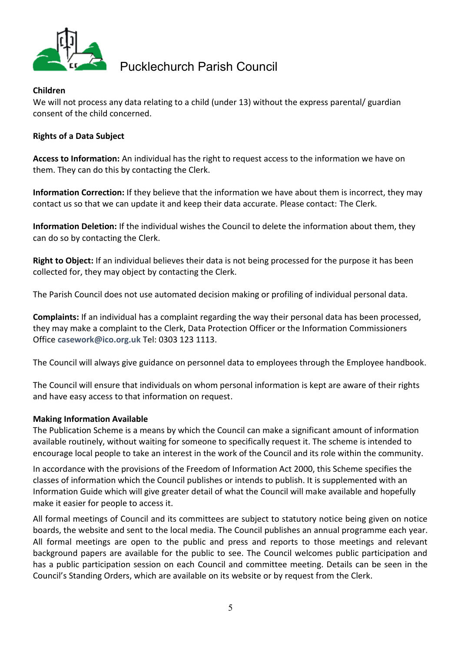

### **Children**

We will not process any data relating to a child (under 13) without the express parental/ guardian consent of the child concerned.

### **Rights of a Data Subject**

**Access to Information:** An individual has the right to request access to the information we have on them. They can do this by contacting the Clerk.

**Information Correction:** If they believe that the information we have about them is incorrect, they may contact us so that we can update it and keep their data accurate. Please contact: The Clerk.

**Information Deletion:** If the individual wishes the Council to delete the information about them, they can do so by contacting the Clerk.

**Right to Object:** If an individual believes their data is not being processed for the purpose it has been collected for, they may object by contacting the Clerk.

The Parish Council does not use automated decision making or profiling of individual personal data.

**Complaints:** If an individual has a complaint regarding the way their personal data has been processed, they may make a complaint to the Clerk, Data Protection Officer or the Information Commissioners Office **[casework@ico.org.uk](mailto:casework@ico.org.uk)** Tel: 0303 123 1113.

The Council will always give guidance on personnel data to employees through the Employee handbook.

The Council will ensure that individuals on whom personal information is kept are aware of their rights and have easy access to that information on request.

#### **Making Information Available**

The Publication Scheme is a means by which the Council can make a significant amount of information available routinely, without waiting for someone to specifically request it. The scheme is intended to encourage local people to take an interest in the work of the Council and its role within the community.

In accordance with the provisions of the Freedom of Information Act 2000, this Scheme specifies the classes of information which the Council publishes or intends to publish. It is supplemented with an Information Guide which will give greater detail of what the Council will make available and hopefully make it easier for people to access it.

All formal meetings of Council and its committees are subject to statutory notice being given on notice boards, the website and sent to the local media. The Council publishes an annual programme each year. All formal meetings are open to the public and press and reports to those meetings and relevant background papers are available for the public to see. The Council welcomes public participation and has a public participation session on each Council and committee meeting. Details can be seen in the Council's Standing Orders, which are available on its website or by request from the Clerk.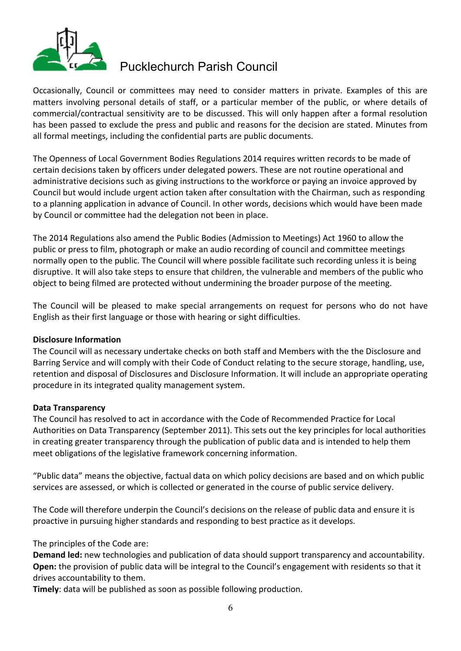

Occasionally, Council or committees may need to consider matters in private. Examples of this are matters involving personal details of staff, or a particular member of the public, or where details of commercial/contractual sensitivity are to be discussed. This will only happen after a formal resolution has been passed to exclude the press and public and reasons for the decision are stated. Minutes from all formal meetings, including the confidential parts are public documents.

The Openness of Local Government Bodies Regulations 2014 requires written records to be made of certain decisions taken by officers under delegated powers. These are not routine operational and administrative decisions such as giving instructions to the workforce or paying an invoice approved by Council but would include urgent action taken after consultation with the Chairman, such as responding to a planning application in advance of Council. In other words, decisions which would have been made by Council or committee had the delegation not been in place.

The 2014 Regulations also amend the Public Bodies (Admission to Meetings) Act 1960 to allow the public or press to film, photograph or make an audio recording of council and committee meetings normally open to the public. The Council will where possible facilitate such recording unless it is being disruptive. It will also take steps to ensure that children, the vulnerable and members of the public who object to being filmed are protected without undermining the broader purpose of the meeting.

The Council will be pleased to make special arrangements on request for persons who do not have English as their first language or those with hearing or sight difficulties.

#### **Disclosure Information**

The Council will as necessary undertake checks on both staff and Members with the the Disclosure and Barring Service and will comply with their Code of Conduct relating to the secure storage, handling, use, retention and disposal of Disclosures and Disclosure Information. It will include an appropriate operating procedure in its integrated quality management system.

#### **Data Transparency**

The Council has resolved to act in accordance with the Code of Recommended Practice for Local Authorities on Data Transparency (September 2011). This sets out the key principles for local authorities in creating greater transparency through the publication of public data and is intended to help them meet obligations of the legislative framework concerning information.

"Public data" means the objective, factual data on which policy decisions are based and on which public services are assessed, or which is collected or generated in the course of public service delivery.

The Code will therefore underpin the Council's decisions on the release of public data and ensure it is proactive in pursuing higher standards and responding to best practice as it develops.

The principles of the Code are:

**Demand led:** new technologies and publication of data should support transparency and accountability. **Open:** the provision of public data will be integral to the Council's engagement with residents so that it drives accountability to them.

**Timely**: data will be published as soon as possible following production.